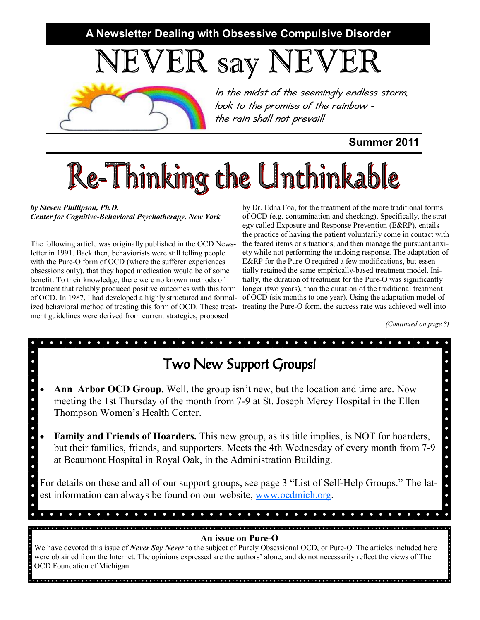**A Newsletter Dealing with Obsessive Compulsive Disorder** 

NEVER say NEVER



*In the midst of the seemingly endless storm, look to the promise of the rainbow the rain shall not prevail!* 

**Summer 2011** 

# Re-Thinking the Unthinkable

*by Steven Phillipson, Ph.D. Center for Cognitive-Behavioral Psychotherapy, New York* 

The following article was originally published in the OCD Newsletter in 1991. Back then, behaviorists were still telling people with the Pure-O form of OCD (where the sufferer experiences obsessions only), that they hoped medication would be of some benefit. To their knowledge, there were no known methods of treatment that reliably produced positive outcomes with this form of OCD. In 1987, I had developed a highly structured and formalment guidelines were derived from current strategies, proposed

ized behavioral method of treating this form of OCD. These treat- treating the Pure-O form, the success rate was achieved well into by Dr. Edna Foa, for the treatment of the more traditional forms of OCD (e.g. contamination and checking). Specifically, the strategy called Exposure and Response Prevention (E&RP), entails the practice of having the patient voluntarily come in contact with the feared items or situations, and then manage the pursuant anxiety while not performing the undoing response. The adaptation of E&RP for the Pure-O required a few modifications, but essentially retained the same empirically-based treatment model. Initially, the duration of treatment for the Pure-O was significantly longer (two years), than the duration of the traditional treatment of OCD (six months to one year). Using the adaptation model of

*(Continued on page 8)* 

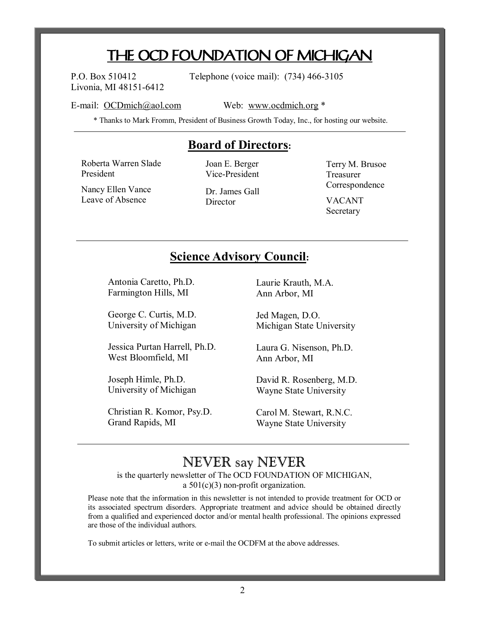## **THE OCD FOUNDATION OF MICHIGAN**

Livonia, MI 48151-6412

P.O. Box 510412 Telephone (voice mail): (734) 466-3105

E-mail: [OCDmich@aol.com](mailto:OCDmich@aol.com) Web: [www.ocdmich.org](http://www.ocdmich.org) \*

\* Thanks to Mark Fromm, President of Business Growth Today, Inc., for hosting our website.

### **Board of Directors:**

Roberta Warren Slade President

Joan E. Berger Vice-President

Nancy Ellen Vance Leave of Absence

Dr. James Gall Director

Terry M. Brusoe Treasurer Correspondence VACANT Secretary

### **Science Advisory Council:**

Antonia Caretto, Ph.D. Farmington Hills, MI

George C. Curtis, M.D. University of Michigan

Jessica Purtan Harrell, Ph.D. West Bloomfield, MI

Joseph Himle, Ph.D. University of Michigan

Christian R. Komor, Psy.D. Grand Rapids, MI

Laurie Krauth, M.A. Ann Arbor, MI

Jed Magen, D.O. Michigan State University

Laura G. Nisenson, Ph.D. Ann Arbor, MI

David R. Rosenberg, M.D. Wayne State University

Carol M. Stewart, R.N.C. Wayne State University

## NEVER say NEVER

is the quarterly newsletter of The OCD FOUNDATION OF MICHIGAN, a 501(c)(3) non-profit organization.

Please note that the information in this newsletter is not intended to provide treatment for OCD or its associated spectrum disorders. Appropriate treatment and advice should be obtained directly from a qualified and experienced doctor and/or mental health professional. The opinions expressed are those of the individual authors.

To submit articles or letters, write or e-mail the OCDFM at the above addresses.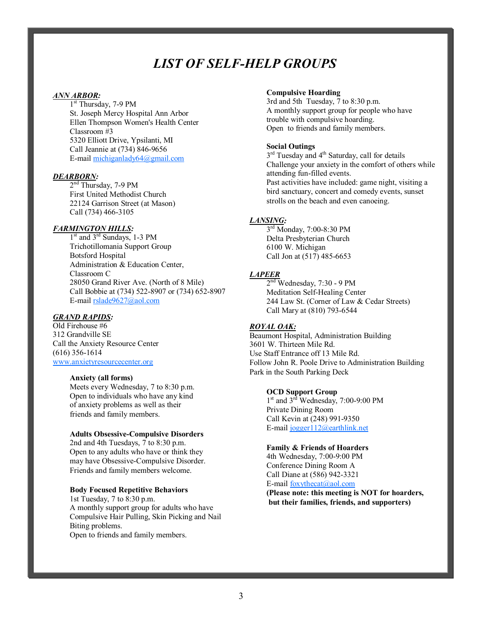## *LIST OF SELF-HELP GROUPS*

#### *ANN ARBOR:*

1<sup>st</sup> Thursday, 7-9 PM St. Joseph Mercy Hospital Ann Arbor Ellen Thompson Women's Health Center Classroom #3 5320 Elliott Drive, Ypsilanti, MI Call Jeannie at (734) 846-9656 E-mail [michiganlady64@gmail.com](mailto:michiganlady64@gmail.com)

#### *DEARBORN:*

 $2<sup>nd</sup>$  Thursday, 7-9 PM First United Methodist Church 22124 Garrison Street (at Mason) Call (734) 466-3105

#### *FARMINGTON HILLS:*

 $1<sup>st</sup>$  and  $3<sup>rd</sup>$  Sundays, 1-3 PM Trichotillomania Support Group Botsford Hospital Administration & Education Center, Classroom C 28050 Grand River Ave. (North of 8 Mile) Call Bobbie at (734) 522-8907 or (734) 652-8907 E-mail [rslade9627@aol.com](mailto:rslade9627@aol.com)

#### *GRAND RAPIDS:*

Old Firehouse #6 312 Grandville SE Call the Anxiety Resource Center (616) 356-1614 [www.anxietyresourcecenter.org](http://www.anxietyresourcecenter.org)

#### **Anxiety (all forms)**

Meets every Wednesday, 7 to 8:30 p.m. Open to individuals who have any kind of anxiety problems as well as their friends and family members.

#### **Adults Obsessive-Compulsive Disorders**

2nd and 4th Tuesdays, 7 to 8:30 p.m. Open to any adults who have or think they may have Obsessive-Compulsive Disorder. Friends and family members welcome.

#### **Body Focused Repetitive Behaviors**

1st Tuesday, 7 to 8:30 p.m. A monthly support group for adults who have Compulsive Hair Pulling, Skin Picking and Nail Biting problems. Open to friends and family members.

#### **Compulsive Hoarding**

3rd and 5th Tuesday, 7 to 8:30 p.m. A monthly support group for people who have trouble with compulsive hoarding. Open to friends and family members.

#### **Social Outings**

3<sup>rd</sup> Tuesday and 4<sup>th</sup> Saturday, call for details Challenge your anxiety in the comfort of others while attending fun-filled events. Past activities have included: game night, visiting a bird sanctuary, concert and comedy events, sunset strolls on the beach and even canoeing.

#### *LANSING:*

3<sup>rd</sup> Monday, 7:00-8:30 PM Delta Presbyterian Church 6100 W. Michigan Call Jon at (517) 485-6653

#### *LAPEER*

 $2<sup>nd</sup>$  Wednesday, 7:30 - 9 PM Meditation Self-Healing Center 244 Law St. (Corner of Law & Cedar Streets) Call Mary at (810) 793-6544

#### *ROYAL OAK:*

Beaumont Hospital, Administration Building 3601 W. Thirteen Mile Rd. Use Staff Entrance off 13 Mile Rd. Follow John R. Poole Drive to Administration Building Park in the South Parking Deck

#### **OCD Support Group**

 $1<sup>st</sup>$  and  $3<sup>rd</sup>$  Wednesday, 7:00-9:00 PM Private Dining Room Call Kevin at (248) 991-9350 E-mail [jogger112@earthlink.net](mailto:jogger112@earthlink.net)

#### **Family & Friends of Hoarders**

4th Wednesday, 7:00-9:00 PM Conference Dining Room A Call Diane at (586) 942-3321 E-mail [foxythecat@aol.com](mailto:foxythecat@aol.com)

**(Please note: this meeting is NOT for hoarders, but their families, friends, and supporters)**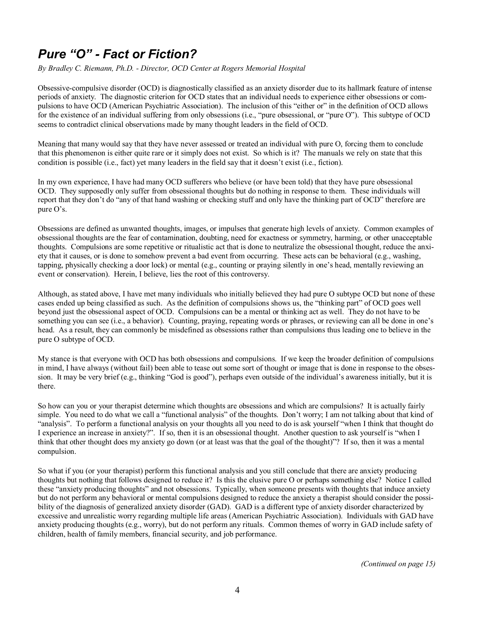## *Pure "O" - Fact or Fiction?*

*By Bradley C. Riemann, Ph.D. - Director, OCD Center at Rogers Memorial Hospital*

Obsessive-compulsive disorder (OCD) is diagnostically classified as an anxiety disorder due to its hallmark feature of intense periods of anxiety. The diagnostic criterion for OCD states that an individual needs to experience either obsessions or compulsions to have OCD (American Psychiatric Association). The inclusion of this "either or" in the definition of OCD allows for the existence of an individual suffering from only obsessions (i.e., "pure obsessional, or "pure O"). This subtype of OCD seems to contradict clinical observations made by many thought leaders in the field of OCD.

Meaning that many would say that they have never assessed or treated an individual with pure O, forcing them to conclude that this phenomenon is either quite rare or it simply does not exist. So which is it? The manuals we rely on state that this condition is possible (i.e., fact) yet many leaders in the field say that it doesn't exist (i.e., fiction).

In my own experience, I have had many OCD sufferers who believe (or have been told) that they have pure obsessional OCD. They supposedly only suffer from obsessional thoughts but do nothing in response to them. These individuals will report that they don't do "any of that hand washing or checking stuff and only have the thinking part of OCD" therefore are pure O's.

Obsessions are defined as unwanted thoughts, images, or impulses that generate high levels of anxiety. Common examples of obsessional thoughts are the fear of contamination, doubting, need for exactness or symmetry, harming, or other unacceptable thoughts. Compulsions are some repetitive or ritualistic act that is done to neutralize the obsessional thought, reduce the anxiety that it causes, or is done to somehow prevent a bad event from occurring. These acts can be behavioral (e.g., washing, tapping, physically checking a door lock) or mental (e.g., counting or praying silently in one's head, mentally reviewing an event or conservation). Herein, I believe, lies the root of this controversy.

Although, as stated above, I have met many individuals who initially believed they had pure O subtype OCD but none of these cases ended up being classified as such. As the definition of compulsions shows us, the "thinking part" of OCD goes well beyond just the obsessional aspect of OCD. Compulsions can be a mental or thinking act as well. They do not have to be something you can see (i.e., a behavior). Counting, praying, repeating words or phrases, or reviewing can all be done in one's head. As a result, they can commonly be misdefined as obsessions rather than compulsions thus leading one to believe in the pure O subtype of OCD.

My stance is that everyone with OCD has both obsessions and compulsions. If we keep the broader definition of compulsions in mind, I have always (without fail) been able to tease out some sort of thought or image that is done in response to the obsession. It may be very brief (e.g., thinking "God is good"), perhaps even outside of the individual's awareness initially, but it is there.

So how can you or your therapist determine which thoughts are obsessions and which are compulsions? It is actually fairly simple. You need to do what we call a "functional analysis" of the thoughts. Don't worry; I am not talking about that kind of "analysis". To perform a functional analysis on your thoughts all you need to do is ask yourself "when I think that thought do I experience an increase in anxiety?". If so, then it is an obsessional thought. Another question to ask yourself is "when I think that other thought does my anxiety go down (or at least was that the goal of the thought)"? If so, then it was a mental compulsion.

So what if you (or your therapist) perform this functional analysis and you still conclude that there are anxiety producing thoughts but nothing that follows designed to reduce it? Is this the elusive pure O or perhaps something else? Notice I called these "anxiety producing thoughts" and not obsessions. Typically, when someone presents with thoughts that induce anxiety but do not perform any behavioral or mental compulsions designed to reduce the anxiety a therapist should consider the possibility of the diagnosis of generalized anxiety disorder (GAD). GAD is a different type of anxiety disorder characterized by excessive and unrealistic worry regarding multiple life areas (American Psychiatric Association). Individuals with GAD have anxiety producing thoughts (e.g., worry), but do not perform any rituals. Common themes of worry in GAD include safety of children, health of family members, financial security, and job performance.

*(Continued on page 15)*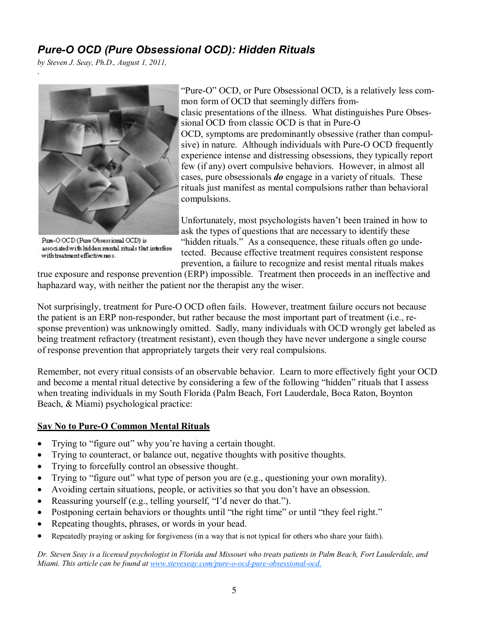### *Pure-O OCD (Pure Obsessional OCD): Hidden Rituals*

*by Steven J. Seay, Ph.D., August 1, 2011,* .



Pure-O OCD (Pure Obsessional OCD) is associated with hidden mental rituals that interfere with treatment effective ness.

"Pure-O" OCD, or Pure Obsessional OCD, is a relatively less common form of OCD that seemingly differs fromclasic presentations of the illness. What distinguishes Pure Obsessional OCD from classic OCD is that in Pure-O OCD, symptoms are predominantly obsessive (rather than compulsive) in nature. Although individuals with Pure-O OCD frequently experience intense and distressing obsessions, they typically report few (if any) overt compulsive behaviors. However, in almost all cases, pure obsessionals *do* engage in a variety of rituals. These rituals just manifest as mental compulsions rather than behavioral compulsions.

Unfortunately, most psychologists haven't been trained in how to ask the types of questions that are necessary to identify these "hidden rituals." As a consequence, these rituals often go undetected. Because effective treatment requires consistent response prevention, a failure to recognize and resist mental rituals makes

true exposure and response prevention (ERP) impossible. Treatment then proceeds in an ineffective and haphazard way, with neither the patient nor the therapist any the wiser.

Not surprisingly, treatment for Pure-O OCD often fails. However, treatment failure occurs not because the patient is an ERP non-responder, but rather because the most important part of treatment (i.e., response prevention) was unknowingly omitted. Sadly, many individuals with OCD wrongly get labeled as being treatment refractory (treatment resistant), even though they have never undergone a single course of response prevention that appropriately targets their very real compulsions.

Remember, not every ritual consists of an observable behavior. Learn to more effectively fight your OCD and become a mental ritual detective by considering a few of the following "hidden" rituals that I assess when treating individuals in my South Florida (Palm Beach, Fort Lauderdale, Boca Raton, Boynton Beach, & Miami) psychological practice:

#### **Say No to Pure-O Common Mental Rituals**

- · Trying to "figure out" why you're having a certain thought.
- · Trying to counteract, or balance out, negative thoughts with positive thoughts.
- · Trying to forcefully control an obsessive thought.
- · Trying to "figure out" what type of person you are (e.g., questioning your own morality).
- · Avoiding certain situations, people, or activities so that you don't have an obsession.
- Reassuring yourself (e.g., telling yourself, "I'd never do that.").
- Postponing certain behaviors or thoughts until "the right time" or until "they feel right."
- Repeating thoughts, phrases, or words in your head.
- Repeatedly praying or asking for forgiveness (in a way that is not typical for others who share your faith).

Dr. Steven Seav is a licensed psychologist in Florida and Missouri who treats patients in Palm Beach, Fort Lauderdale, and *Miami. This article can be found at [www.steveseay.com/pure-o-ocd-pure-obsessional-ocd.](http://www.steveseay.com/pure-o-ocd-pure-obsessional-ocd)*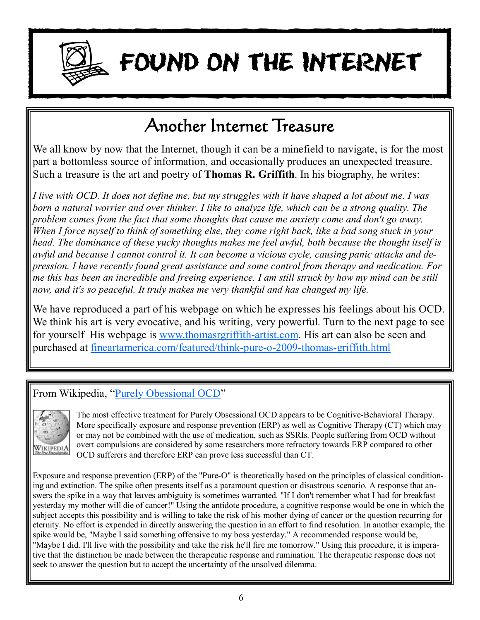

# **FOUND ON THE INTERNET**

## **Another Internet Treasure**

We all know by now that the Internet, though it can be a minefield to navigate, is for the most part a bottomless source of information, and occasionally produces an unexpected treasure. Such a treasure is the art and poetry of **Thomas R. Griffith**. In his biography, he writes:

I live with OCD. It does not define me, but my struggles with it have shaped a lot about me. I was *born a natural worrier and over thinker. I like to analyze life, which can be a strong quality. The problem comes from the fact that some thoughts that cause me anxiety come and don't go away.*  When I force myself to think of something else, they come right back, like a bad song stuck in your *head. The dominance of these yucky thoughts makes me feel awful, both because the thought itself is awful and because I cannot control it. It can become a vicious cycle, causing panic attacks and depression. I have recently found great assistance and some control from therapy and medication. For*  me this has been an incredible and freeing experience. I am still struck by how my mind can be still *now, and it's so peaceful. It truly makes me very thankful and has changed my life.* 

We have reproduced a part of his webpage on which he expresses his feelings about his OCD. We think his art is very evocative, and his writing, very powerful. Turn to the next page to see for yourself His webpage is [www.thomasrgriffith-artist.com](http://www.thomasrgriffith-artist.com). His art can also be seen and purchased at fineartamerica.com/featured/think-pure-o-2009-thomas-griffith.html

## From Wikipedia, "Purely Obessional OCD"



The most effective treatment for Purely Obsessional OCD appears to be Cognitive-Behavioral Therapy. More specifically exposure and response prevention (ERP) as well as Cognitive Therapy (CT) which may or may not be combined with the use of medication, such as SSRIs. People suffering from OCD without overt compulsions are considered by some researchers more refractory towards ERP compared to other OCD sufferers and therefore ERP can prove less successful than CT.

Exposure and response prevention (ERP) of the "Pure-O" is theoretically based on the principles of classical conditioning and extinction. The spike often presents itself as a paramount question or disastrous scenario. A response that answers the spike in a way that leaves ambiguity is sometimes warranted. "If I don't remember what I had for breakfast yesterday my mother will die of cancer!" Using the antidote procedure, a cognitive response would be one in which the subject accepts this possibility and is willing to take the risk of his mother dying of cancer or the question recurring for eternity. No effort is expended in directly answering the question in an effort to find resolution. In another example, the spike would be, "Maybe I said something offensive to my boss yesterday." A recommended response would be, "Maybe I did. I'll live with the possibility and take the risk he'll fire me tomorrow." Using this procedure, it is imperative that the distinction be made between the therapeutic response and rumination. The therapeutic response does not seek to answer the question but to accept the uncertainty of the unsolved dilemma.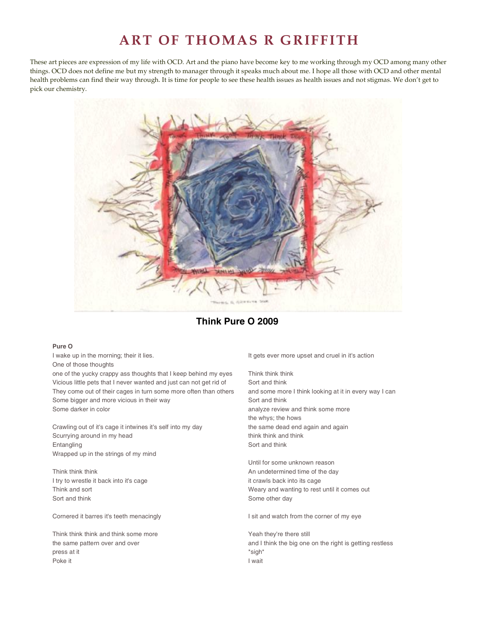## **ART OF THOMAS R GRIFFITH**

These art pieces are expression of my life with OCD. Art and the piano have become key to me working through my OCD among many other things. OCD does not define me but my strength to manager through it speaks much about me. I hope all those with OCD and other mental health problems can find their way through. It is time for people to see these health issues as health issues and not stigmas. We don't get to pick our chemistry.



#### **Think Pure O 2009**

#### **Pure O**

I wake up in the morning; their it lies. One of those thoughts

one of the yucky crappy ass thoughts that I keep behind my eyes Vicious little pets that I never wanted and just can not get rid of They come out of their cages in turn some more often than others Some bigger and more vicious in their way Some darker in color

Crawling out of it's cage it intwines it's self into my day Scurrying around in my head Entangling Wrapped up in the strings of my mind

Think think think I try to wrestle it back into it's cage Think and sort Sort and think

Cornered it barres it's teeth menacingly

Think think think and think some more the same pattern over and over press at it Poke it

It gets ever more upset and cruel in it's action

Think think think Sort and think and some more I think looking at it in every way I can Sort and think analyze review and think some more the whys; the hows the same dead end again and again think think and think Sort and think

Until for some unknown reason An undetermined time of the day it crawls back into its cage Weary and wanting to rest until it comes out Some other day

I sit and watch from the corner of my eye

Yeah they're there still and I think the big one on the right is getting restless \*sigh\* I wait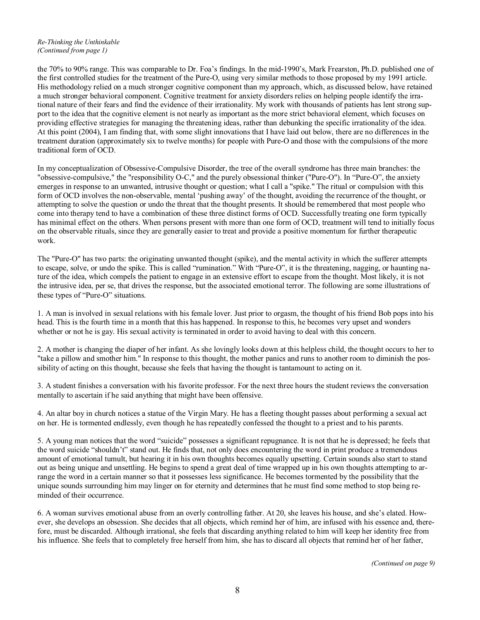#### *Re-Thinking the Unthinkable (Continued from page 1)*

the 70% to 90% range. This was comparable to Dr. Foa's findings. In the mid-1990's, Mark Frearston, Ph.D. published one of the first controlled studies for the treatment of the Pure-O, using very similar methods to those proposed by my 1991 article. His methodology relied on a much stronger cognitive component than my approach, which, as discussed below, have retained a much stronger behavioral component. Cognitive treatment for anxiety disorders relies on helping people identify the irrational nature of their fears and find the evidence of their irrationality. My work with thousands of patients has lent strong support to the idea that the cognitive element is not nearly as important as the more strict behavioral element, which focuses on providing effective strategies for managing the threatening ideas, rather than debunking the specific irrationality of the idea. At this point (2004), I am finding that, with some slight innovations that I have laid out below, there are no differences in the treatment duration (approximately six to twelve months) for people with Pure-O and those with the compulsions of the more traditional form of OCD.

In my conceptualization of Obsessive-Compulsive Disorder, the tree of the overall syndrome has three main branches: the "obsessive-compulsive," the "responsibility O-C," and the purely obsessional thinker ("Pure-O"). In "Pure-O", the anxiety emerges in response to an unwanted, intrusive thought or question; what I call a "spike." The ritual or compulsion with this form of OCD involves the non-observable, mental 'pushing away' of the thought, avoiding the recurrence of the thought, or attempting to solve the question or undo the threat that the thought presents. It should be remembered that most people who come into therapy tend to have a combination of these three distinct forms of OCD. Successfully treating one form typically has minimal effect on the others. When persons present with more than one form of OCD, treatment will tend to initially focus on the observable rituals, since they are generally easier to treat and provide a positive momentum for further therapeutic work.

The "Pure-O" has two parts: the originating unwanted thought (spike), and the mental activity in which the sufferer attempts to escape, solve, or undo the spike. This is called "rumination." With "Pure-O", it is the threatening, nagging, or haunting nature of the idea, which compels the patient to engage in an extensive effort to escape from the thought. Most likely, it is not the intrusive idea, per se, that drives the response, but the associated emotional terror. The following are some illustrations of these types of "Pure-O" situations.

1. A man is involved in sexual relations with his female lover. Just prior to orgasm, the thought of his friend Bob pops into his head. This is the fourth time in a month that this has happened. In response to this, he becomes very upset and wonders whether or not he is gay. His sexual activity is terminated in order to avoid having to deal with this concern.

2. A mother is changing the diaper of her infant. As she lovingly looks down at this helpless child, the thought occurs to her to "take a pillow and smother him." In response to this thought, the mother panics and runs to another room to diminish the possibility of acting on this thought, because she feels that having the thought is tantamount to acting on it.

3. A student finishes a conversation with his favorite professor. For the next three hours the student reviews the conversation mentally to ascertain if he said anything that might have been offensive.

4. An altar boy in church notices a statue of the Virgin Mary. He has a fleeting thought passes about performing a sexual act on her. He is tormented endlessly, even though he has repeatedly confessed the thought to a priest and to his parents.

5. A young man notices that the word "suicide" possesses a significant repugnance. It is not that he is depressed; he feels that the word suicide "shouldn't" stand out. He finds that, not only does encountering the word in print produce a tremendous amount of emotional tumult, but hearing it in his own thoughts becomes equally upsetting. Certain sounds also start to stand out as being unique and unsettling. He begins to spend a great deal of time wrapped up in his own thoughts attempting to arrange the word in a certain manner so that it possesses less significance. He becomes tormented by the possibility that the unique sounds surrounding him may linger on for eternity and determines that he must find some method to stop being reminded of their occurrence.

6. A woman survives emotional abuse from an overly controlling father. At 20, she leaves his house, and she's elated. However, she develops an obsession. She decides that all objects, which remind her of him, are infused with his essence and, therefore, must be discarded. Although irrational, she feels that discarding anything related to him will keep her identity free from his influence. She feels that to completely free herself from him, she has to discard all objects that remind her of her father,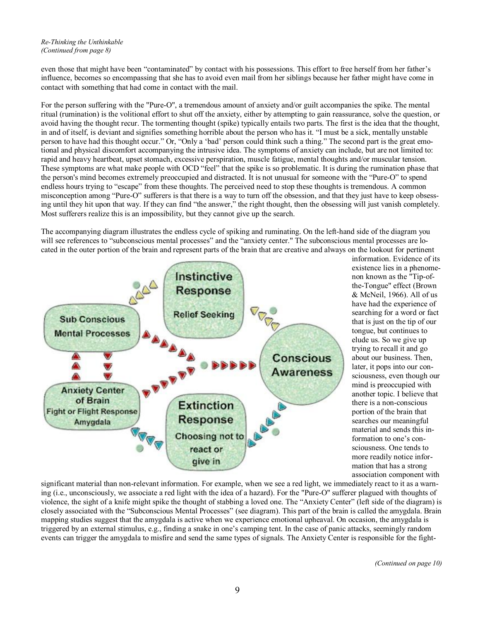#### *Re-Thinking the Unthinkable (Continued from page 8)*

even those that might have been "contaminated" by contact with his possessions. This effort to free herself from her father's influence, becomes so encompassing that she has to avoid even mail from her siblings because her father might have come in contact with something that had come in contact with the mail.

For the person suffering with the "Pure-O", a tremendous amount of anxiety and/or guilt accompanies the spike. The mental ritual (rumination) is the volitional effort to shut off the anxiety, either by attempting to gain reassurance, solve the question, or avoid having the thought recur. The tormenting thought (spike) typically entails two parts. The first is the idea that the thought, in and of itself, is deviant and signifies something horrible about the person who has it. "I must be a sick, mentally unstable person to have had this thought occur." Or, "Only a 'bad' person could think such a thing." The second part is the great emotional and physical discomfort accompanying the intrusive idea. The symptoms of anxiety can include, but are not limited to: rapid and heavy heartbeat, upset stomach, excessive perspiration, muscle fatigue, mental thoughts and/or muscular tension. These symptoms are what make people with OCD "feel" that the spike is so problematic. It is during the rumination phase that the person's mind becomes extremely preoccupied and distracted. It is not unusual for someone with the "Pure-O" to spend endless hours trying to "escape" from these thoughts. The perceived need to stop these thoughts is tremendous. A common misconception among "Pure-O" sufferers is that there is a way to turn off the obsession, and that they just have to keep obsessing until they hit upon that way. If they can find "the answer," the right thought, then the obsessing will just vanish completely. Most sufferers realize this is an impossibility, but they cannot give up the search.

The accompanying diagram illustrates the endless cycle of spiking and ruminating. On the left-hand side of the diagram you will see references to "subconscious mental processes" and the "anxiety center." The subconscious mental processes are located in the outer portion of the brain and represent parts of the brain that are creative and always on the lookout for pertinent



information. Evidence of its existence lies in a phenomenon known as the "Tip-ofthe-Tongue" effect (Brown & McNeil, 1966). All of us have had the experience of searching for a word or fact that is just on the tip of our tongue, but continues to elude us. So we give up trying to recall it and go about our business. Then, later, it pops into our consciousness, even though our mind is preoccupied with another topic. I believe that there is a non-conscious portion of the brain that searches our meaningful material and sends this information to one's consciousness. One tends to more readily notice information that has a strong association component with

significant material than non-relevant information. For example, when we see a red light, we immediately react to it as a warning (i.e., unconsciously, we associate a red light with the idea of a hazard). For the "Pure-O" sufferer plagued with thoughts of violence, the sight of a knife might spike the thought of stabbing a loved one. The "Anxiety Center" (left side of the diagram) is closely associated with the "Subconscious Mental Processes" (see diagram). This part of the brain is called the amygdala. Brain mapping studies suggest that the amygdala is active when we experience emotional upheaval. On occasion, the amygdala is triggered by an external stimulus, e.g., finding a snake in one's camping tent. In the case of panic attacks, seemingly random events can trigger the amygdala to misfire and send the same types of signals. The Anxiety Center is responsible for the fight-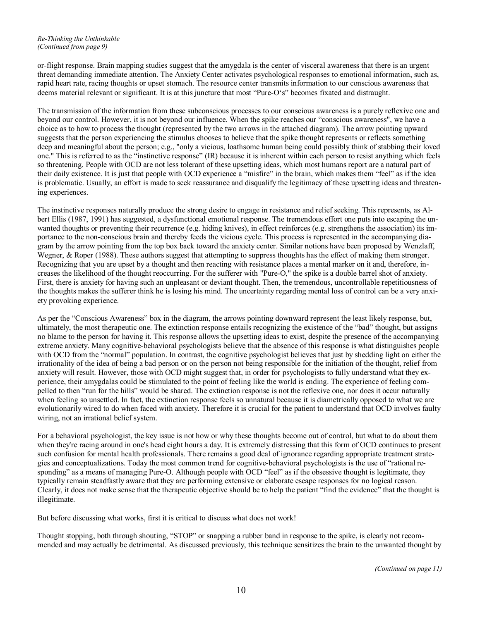#### *Re-Thinking the Unthinkable (Continued from page 9)*

or-flight response. Brain mapping studies suggest that the amygdala is the center of visceral awareness that there is an urgent threat demanding immediate attention. The Anxiety Center activates psychological responses to emotional information, such as, rapid heart rate, racing thoughts or upset stomach. The resource center transmits information to our conscious awareness that deems material relevant or significant. It is at this juncture that most "Pure-O's" becomes fixated and distraught.

The transmission of the information from these subconscious processes to our conscious awareness is a purely reflexive one and beyond our control. However, it is not beyond our influence. When the spike reaches our "conscious awareness", we have a choice as to how to process the thought (represented by the two arrows in the attached diagram). The arrow pointing upward suggests that the person experiencing the stimulus chooses to believe that the spike thought represents or reflects something deep and meaningful about the person; e.g., "only a vicious, loathsome human being could possibly think of stabbing their loved one." This is referred to as the "instinctive response" (IR) because it is inherent within each person to resist anything which feels so threatening. People with OCD are not less tolerant of these upsetting ideas, which most humans report are a natural part of their daily existence. It is just that people with OCD experience a "misfire" in the brain, which makes them "feel" as if the idea is problematic. Usually, an effort is made to seek reassurance and disqualify the legitimacy of these upsetting ideas and threatening experiences.

The instinctive responses naturally produce the strong desire to engage in resistance and relief seeking. This represents, as Albert Ellis (1987, 1991) has suggested, a dysfunctional emotional response. The tremendous effort one puts into escaping the unwanted thoughts or preventing their recurrence (e.g. hiding knives), in effect reinforces (e.g. strengthens the association) its importance to the non-conscious brain and thereby feeds the vicious cycle. This process is represented in the accompanying diagram by the arrow pointing from the top box back toward the anxiety center. Similar notions have been proposed by Wenzlaff, Wegner, & Roper (1988). These authors suggest that attempting to suppress thoughts has the effect of making them stronger. Recognizing that you are upset by a thought and then reacting with resistance places a mental marker on it and, therefore, increases the likelihood of the thought reoccurring. For the sufferer with "Pure-O," the spike is a double barrel shot of anxiety. First, there is anxiety for having such an unpleasant or deviant thought. Then, the tremendous, uncontrollable repetitiousness of the thoughts makes the sufferer think he is losing his mind. The uncertainty regarding mental loss of control can be a very anxiety provoking experience.

As per the "Conscious Awareness" box in the diagram, the arrows pointing downward represent the least likely response, but, ultimately, the most therapeutic one. The extinction response entails recognizing the existence of the "bad" thought, but assigns no blame to the person for having it. This response allows the upsetting ideas to exist, despite the presence of the accompanying extreme anxiety. Many cognitive-behavioral psychologists believe that the absence of this response is what distinguishes people with OCD from the "normal" population. In contrast, the cognitive psychologist believes that just by shedding light on either the irrationality of the idea of being a bad person or on the person not being responsible for the initiation of the thought, relief from anxiety will result. However, those with OCD might suggest that, in order for psychologists to fully understand what they experience, their amygdalas could be stimulated to the point of feeling like the world is ending. The experience of feeling compelled to then "run for the hills" would be shared. The extinction response is not the reflexive one, nor does it occur naturally when feeling so unsettled. In fact, the extinction response feels so unnatural because it is diametrically opposed to what we are evolutionarily wired to do when faced with anxiety. Therefore it is crucial for the patient to understand that OCD involves faulty wiring, not an irrational belief system.

For a behavioral psychologist, the key issue is not how or why these thoughts become out of control, but what to do about them when they're racing around in one's head eight hours a day. It is extremely distressing that this form of OCD continues to present such confusion for mental health professionals. There remains a good deal of ignorance regarding appropriate treatment strategies and conceptualizations. Today the most common trend for cognitive-behavioral psychologists is the use of "rational responding" as a means of managing Pure-O. Although people with OCD "feel" as if the obsessive thought is legitimate, they typically remain steadfastly aware that they are performing extensive or elaborate escape responses for no logical reason. Clearly, it does not make sense that the therapeutic objective should be to help the patient "find the evidence" that the thought is illegitimate.

But before discussing what works, first it is critical to discuss what does not work!

Thought stopping, both through shouting, "STOP" or snapping a rubber band in response to the spike, is clearly not recommended and may actually be detrimental. As discussed previously, this technique sensitizes the brain to the unwanted thought by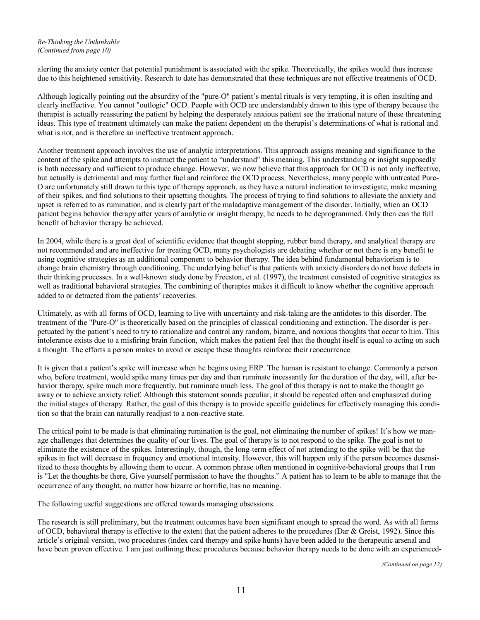#### *Re-Thinking the Unthinkable (Continued from page 10)*

alerting the anxiety center that potential punishment is associated with the spike. Theoretically, the spikes would thus increase due to this heightened sensitivity. Research to date has demonstrated that these techniques are not effective treatments of OCD.

Although logically pointing out the absurdity of the "pure-O" patient's mental rituals is very tempting, it is often insulting and clearly ineffective. You cannot "outlogic" OCD. People with OCD are understandably drawn to this type of therapy because the therapist is actually reassuring the patient by helping the desperately anxious patient see the irrational nature of these threatening ideas. This type of treatment ultimately can make the patient dependent on the therapist's determinations of what is rational and what is not, and is therefore an ineffective treatment approach.

Another treatment approach involves the use of analytic interpretations. This approach assigns meaning and significance to the content of the spike and attempts to instruct the patient to "understand" this meaning. This understanding or insight supposedly is both necessary and sufficient to produce change. However, we now believe that this approach for OCD is not only ineffective, but actually is detrimental and may further fuel and reinforce the OCD process. Nevertheless, many people with untreated Pure-O are unfortunately still drawn to this type of therapy approach, as they have a natural inclination to investigate, make meaning of their spikes, and find solutions to their upsetting thoughts. The process of trying to find solutions to alleviate the anxiety and upset is referred to as rumination, and is clearly part of the maladaptive management of the disorder. Initially, when an OCD patient begins behavior therapy after years of analytic or insight therapy, he needs to be deprogrammed. Only then can the full benefit of behavior therapy be achieved.

In 2004, while there is a great deal of scientific evidence that thought stopping, rubber band therapy, and analytical therapy are not recommended and are ineffective for treating OCD, many psychologists are debating whether or not there is any benefit to using cognitive strategies as an additional component to behavior therapy. The idea behind fundamental behaviorism is to change brain chemistry through conditioning. The underlying belief is that patients with anxiety disorders do not have defects in their thinking processes. In a well-known study done by Freeston, et al. (1997), the treatment consisted of cognitive strategies as well as traditional behavioral strategies. The combining of therapies makes it difficult to know whether the cognitive approach added to or detracted from the patients' recoveries.

Ultimately, as with all forms of OCD, learning to live with uncertainty and risk-taking are the antidotes to this disorder. The treatment of the "Pure-O" is theoretically based on the principles of classical conditioning and extinction. The disorder is perpetuated by the patient's need to try to rationalize and control any random, bizarre, and noxious thoughts that occur to him. This intolerance exists due to a misfiring brain function, which makes the patient feel that the thought itself is equal to acting on such a thought. The efforts a person makes to avoid or escape these thoughts reinforce their reoccurrence

It is given that a patient's spike will increase when he begins using ERP. The human is resistant to change. Commonly a person who, before treatment, would spike many times per day and then ruminate incessantly for the duration of the day, will, after behavior therapy, spike much more frequently, but ruminate much less. The goal of this therapy is not to make the thought go away or to achieve anxiety relief. Although this statement sounds peculiar, it should be repeated often and emphasized during the initial stages of therapy. Rather, the goal of this therapy is to provide specific guidelines for effectively managing this condition so that the brain can naturally readjust to a non-reactive state.

The critical point to be made is that eliminating rumination is the goal, not eliminating the number of spikes! It's how we manage challenges that determines the quality of our lives. The goal of therapy is to not respond to the spike. The goal is not to eliminate the existence of the spikes. Interestingly, though, the long-term effect of not attending to the spike will be that the spikes in fact will decrease in frequency and emotional intensity. However, this will happen only if the person becomes desensitized to these thoughts by allowing them to occur. A common phrase often mentioned in cognitive-behavioral groups that I run is "Let the thoughts be there, Give yourself permission to have the thoughts." A patient has to learn to be able to manage that the occurrence of any thought, no matter how bizarre or horrific, has no meaning.

The following useful suggestions are offered towards managing obsessions.

The research is still preliminary, but the treatment outcomes have been significant enough to spread the word. As with all forms of OCD, behavioral therapy is effective to the extent that the patient adheres to the procedures (Dar  $\&$  Greist, 1992). Since this article's original version, two procedures (index card therapy and spike hunts) have been added to the therapeutic arsenal and have been proven effective. I am just outlining these procedures because behavior therapy needs to be done with an experienced-

*(Continued on page 12)*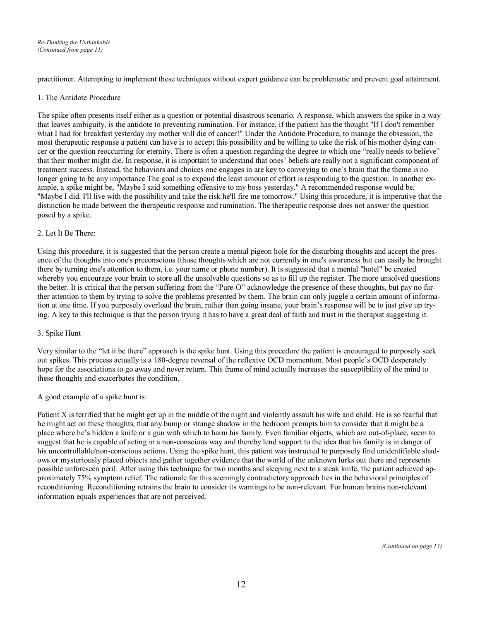practitioner. Attempting to implement these techniques without expert guidance can be problematic and prevent goal attainment.

#### 1. The Antidote Procedure

The spike often presents itself either as a question or potential disastrous scenario. A response, which answers the spike in a way that leaves ambiguity, is the antidote to preventing rumination. For instance, if the patient has the thought "If I don't remember what I had for breakfast yesterday my mother will die of cancer!" Under the Antidote Procedure, to manage the obsession, the most therapeutic response a patient can have is to accept this possibility and be willing to take the risk of his mother dying cancer or the question reoccurring for eternity. There is often a question regarding the degree to which one "really needs to believe" that their mother might die. In response, it is important to understand that ones' beliefs are really not a significant component of treatment success. Instead, the behaviors and choices one engages in are key to conveying to one's brain that the theme is no longer going to be any importance The goal is to expend the least amount of effort is responding to the question. In another example, a spike might be, "Maybe I said something offensive to my boss yesterday." A recommended response would be, "Maybe I did. I'll live with the possibility and take the risk he'll fire me tomorrow." Using this procedure, it is imperative that the distinction be made between the therapeutic response and rumination. The therapeutic response does not answer the question posed by a spike.

#### 2. Let It Be There:

Using this procedure, it is suggested that the person create a mental pigeon hole for the disturbing thoughts and accept the presence of the thoughts into one's preconscious (those thoughts which are not currently in one's awareness but can easily be brought there by turning one's attention to them, i.e. your name or phone number). It is suggested that a mental "hotel" be created whereby you encourage your brain to store all the unsolvable questions so as to fill up the register. The more unsolved questions the better. It is critical that the person suffering from the "Pure-O" acknowledge the presence of these thoughts, but pay no further attention to them by trying to solve the problems presented by them. The brain can only juggle a certain amount of information at one time. If you purposely overload the brain, rather than going insane, your brain's response will be to just give up trying. A key to this technique is that the person trying it has to have a great deal of faith and trust in the therapist suggesting it.

#### 3. Spike Hunt

Very similar to the "let it be there" approach is the spike hunt. Using this procedure the patient is encouraged to purposely seek out spikes. This process actually is a 180-degree reversal of the reflexive OCD momentum. Most people's OCD desperately hope for the associations to go away and never return. This frame of mind actually increases the susceptibility of the mind to these thoughts and exacerbates the condition.

#### A good example of a spike hunt is:

Patient X is terrified that he might get up in the middle of the night and violently assault his wife and child. He is so fearful that he might act on these thoughts, that any bump or strange shadow in the bedroom prompts him to consider that it might be a place where he's hidden a knife or a gun with which to harm his family. Even familiar objects, which are out-of-place, seem to suggest that he is capable of acting in a non-conscious way and thereby lend support to the idea that his family is in danger of his uncontrollable/non-conscious actions. Using the spike hunt, this patient was instructed to purposely find unidentifiable shadows or mysteriously placed objects and gather together evidence that the world of the unknown lurks out there and represents possible unforeseen peril. After using this technique for two months and sleeping next to a steak knife, the patient achieved approximately 75% symptom relief. The rationale for this seemingly contradictory approach lies in the behavioral principles of reconditioning. Reconditioning retrains the brain to consider its warnings to be non-relevant. For human brains non-relevant information equals experiences that are not perceived.

*(Continued on page 13)*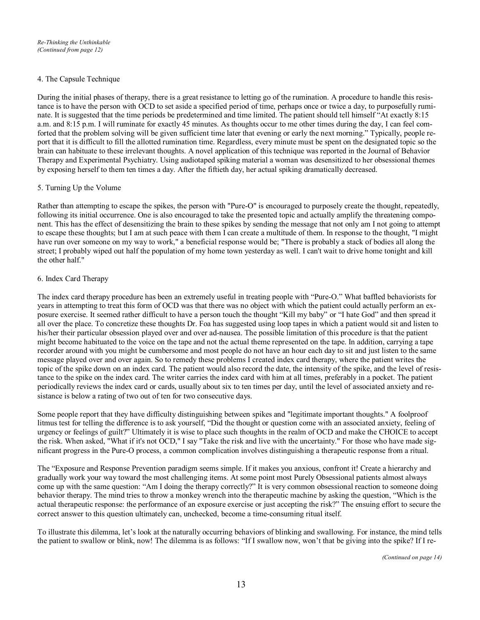#### 4. The Capsule Technique

During the initial phases of therapy, there is a great resistance to letting go of the rumination. A procedure to handle this resistance is to have the person with OCD to set aside a specified period of time, perhaps once or twice a day, to purposefully ruminate. It is suggested that the time periods be predetermined and time limited. The patient should tell himself "At exactly 8:15 a.m. and 8:15 p.m. I will ruminate for exactly 45 minutes. As thoughts occur to me other times during the day, I can feel comforted that the problem solving will be given sufficient time later that evening or early the next morning." Typically, people report that it is difficult to fill the allotted rumination time. Regardless, every minute must be spent on the designated topic so the brain can habituate to these irrelevant thoughts. A novel application of this technique was reported in the Journal of Behavior Therapy and Experimental Psychiatry. Using audiotaped spiking material a woman was desensitized to her obsessional themes by exposing herself to them ten times a day. After the fiftieth day, her actual spiking dramatically decreased.

#### 5. Turning Up the Volume

Rather than attempting to escape the spikes, the person with "Pure-O" is encouraged to purposely create the thought, repeatedly, following its initial occurrence. One is also encouraged to take the presented topic and actually amplify the threatening component. This has the effect of desensitizing the brain to these spikes by sending the message that not only am I not going to attempt to escape these thoughts; but I am at such peace with them I can create a multitude of them. In response to the thought, "I might have run over someone on my way to work," a beneficial response would be; "There is probably a stack of bodies all along the street; I probably wiped out half the population of my home town yesterday as well. I can't wait to drive home tonight and kill the other half."

#### 6. Index Card Therapy

The index card therapy procedure has been an extremely useful in treating people with "Pure-O." What baffled behaviorists for years in attempting to treat this form of OCD was that there was no object with which the patient could actually perform an exposure exercise. It seemed rather difficult to have a person touch the thought "Kill my baby" or "I hate God" and then spread it all over the place. To concretize these thoughts Dr. Foa has suggested using loop tapes in which a patient would sit and listen to his/her their particular obsession played over and over ad-nausea. The possible limitation of this procedure is that the patient might become habituated to the voice on the tape and not the actual theme represented on the tape. In addition, carrying a tape recorder around with you might be cumbersome and most people do not have an hour each day to sit and just listen to the same message played over and over again. So to remedy these problems I created index card therapy, where the patient writes the topic of the spike down on an index card. The patient would also record the date, the intensity of the spike, and the level of resistance to the spike on the index card. The writer carries the index card with him at all times, preferably in a pocket. The patient periodically reviews the index card or cards, usually about six to ten times per day, until the level of associated anxiety and resistance is below a rating of two out of ten for two consecutive days.

Some people report that they have difficulty distinguishing between spikes and "legitimate important thoughts." A foolproof litmus test for telling the difference is to ask yourself, "Did the thought or question come with an associated anxiety, feeling of urgency or feelings of guilt?" Ultimately it is wise to place such thoughts in the realm of OCD and make the CHOICE to accept the risk. When asked, "What if it's not OCD," I say "Take the risk and live with the uncertainty." For those who have made significant progress in the Pure-O process, a common complication involves distinguishing a therapeutic response from a ritual.

The "Exposure and Response Prevention paradigm seems simple. If it makes you anxious, confront it! Create a hierarchy and gradually work your way toward the most challenging items. At some point most Purely Obsessional patients almost always come up with the same question: "Am I doing the therapy correctly?" It is very common obsessional reaction to someone doing behavior therapy. The mind tries to throw a monkey wrench into the therapeutic machine by asking the question, "Which is the actual therapeutic response: the performance of an exposure exercise or just accepting the risk?" The ensuing effort to secure the correct answer to this question ultimately can, unchecked, become a time-consuming ritual itself.

To illustrate this dilemma, let's look at the naturally occurring behaviors of blinking and swallowing. For instance, the mind tells the patient to swallow or blink, now! The dilemma is as follows: "If I swallow now, won't that be giving into the spike? If I re-

*(Continued on page 14)*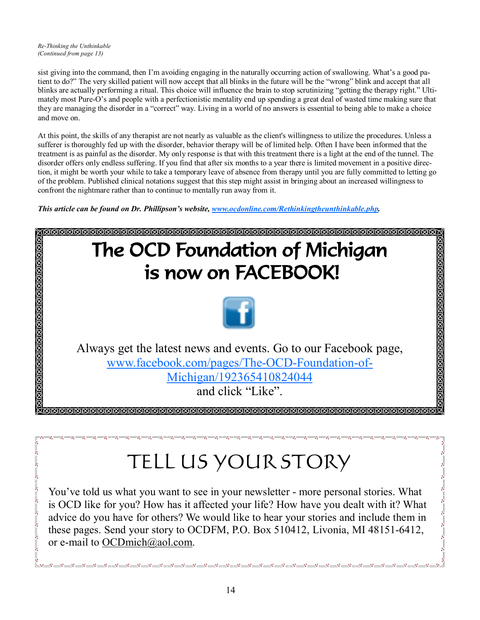$-5 - 5$ 

sist giving into the command, then I'm avoiding engaging in the naturally occurring action of swallowing. What's a good patient to do?" The very skilled patient will now accept that all blinks in the future will be the "wrong" blink and accept that all blinks are actually performing a ritual. This choice will influence the brain to stop scrutinizing "getting the therapy right." Ultimately most Pure-O's and people with a perfectionistic mentality end up spending a great deal of wasted time making sure that they are managing the disorder in a "correct" way. Living in a world of no answers is essential to being able to make a choice and move on.

At this point, the skills of any therapist are not nearly as valuable as the client's willingness to utilize the procedures. Unless a sufferer is thoroughly fed up with the disorder, behavior therapy will be of limited help. Often I have been informed that the treatment is as painful as the disorder. My only response is that with this treatment there is a light at the end of the tunnel. The disorder offers only endless suffering. If you find that after six months to a year there is limited movement in a positive direction, it might be worth your while to take a temporary leave of absence from therapy until you are fully committed to letting go of the problem. Published clinical notations suggest that this step might assist in bringing about an increased willingness to confront the nightmare rather than to continue to mentally run away from it.

*This article can be found on Dr. Phillipson's website, [www.ocdonline.com/Rethinkingtheunthinkable.php.](http://www.ocdonline.com/Rethinkingtheunthinkable.php)* 



## TELL US YOUR STORY

You've told us what you want to see in your newsletter - more personal stories. What is OCD like for you? How has it affected your life? How have you dealt with it? What advice do you have for others? We would like to hear your stories and include them in these pages. Send your story to OCDFM, P.O. Box 510412, Livonia, MI 48151-6412, or e-mail to [OCDmich@aol.com](mailto:OCDmich@aol.com).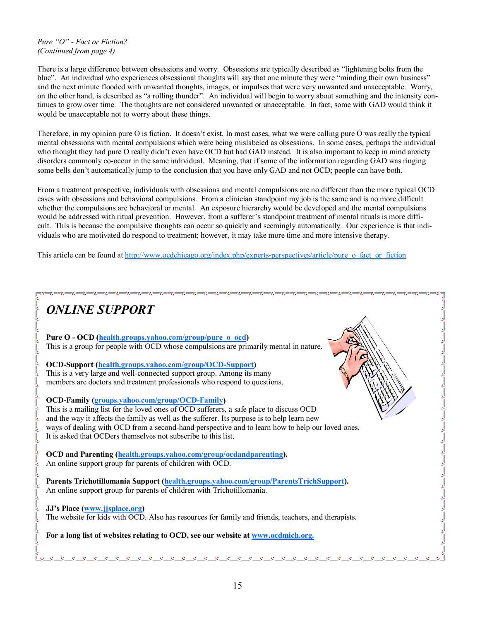#### *Pure "O" - Fact or Fiction? (Continued from page 4)*

There is a large difference between obsessions and worry. Obsessions are typically described as "lightening bolts from the blue". An individual who experiences obsessional thoughts will say that one minute they were "minding their own business" and the next minute flooded with unwanted thoughts, images, or impulses that were very unwanted and unacceptable. Worry, on the other hand, is described as "a rolling thunder". An individual will begin to worry about something and the intensity continues to grow over time. The thoughts are not considered unwanted or unacceptable. In fact, some with GAD would think it would be unacceptable not to worry about these things.

Therefore, in my opinion pure O is fiction. It doesn't exist. In most cases, what we were calling pure O was really the typical mental obsessions with mental compulsions which were being mislabeled as obsessions. In some cases, perhaps the individual who thought they had pure O really didn't even have OCD but had GAD instead. It is also important to keep in mind anxiety disorders commonly co-occur in the same individual. Meaning, that if some of the information regarding GAD was ringing some bells don't automatically jump to the conclusion that you have only GAD and not OCD; people can have both.

From a treatment prospective, individuals with obsessions and mental compulsions are no different than the more typical OCD cases with obsessions and behavioral compulsions. From a clinician standpoint my job is the same and is no more difficult whether the compulsions are behavioral or mental. An exposure hierarchy would be developed and the mental compulsions would be addressed with ritual prevention. However, from a sufferer's standpoint treatment of mental rituals is more difficult. This is because the compulsive thoughts can occur so quickly and seemingly automatically. Our experience is that individuals who are motivated do respond to treatment; however, it may take more time and more intensive therapy.

This article can be found at [http://www.ocdchicago.org/index.php/experts-perspectives/article/pure\\_o\\_fact\\_or\\_fiction](http://www.ocdchicago.org/index.php/experts-perspectives/article/pure_o_fact_or_fiction)

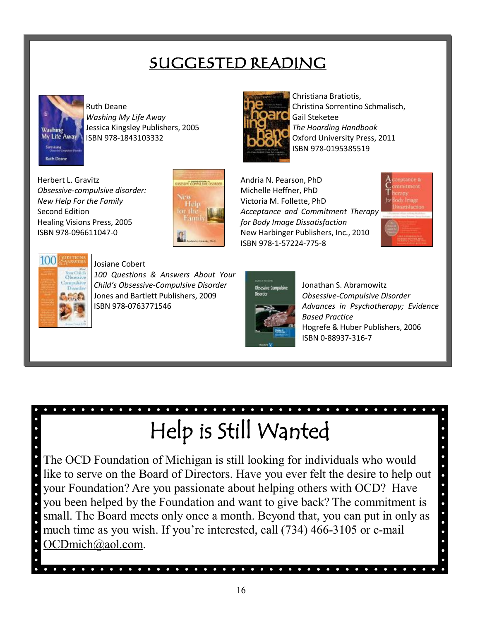## **SUGGESTED READING**



Ruth Deane *Washing My Life Away* Jessica Kingsley Publishers, 2005 ISBN 978-1843103332

Herbert L. Gravitz *Obsessive-compulsive disorder: New Help For the Family* Second Edition Healing Visions Press, 2005 ISBN 978-096611047-0





Christiana Bratiotis, Christina Sorrentino Schmalisch, Gail Steketee *The Hoarding Handbook* Oxford University Press, 2011 ISBN 978-0195385519

Andria N. Pearson, PhD Michelle Heffner, PhD Victoria M. Follette, PhD *Acceptance and Commitment Therapy for Body Image Dissatisfaction* New Harbinger Publishers, Inc., 2010 ISBN 978-1-57224-775-8

 $\bullet$  $\bullet$  $\bullet$  $\bullet$ 





#### Josiane Cobert

*100 Questions & Answers About Your Child's Obsessive-Compulsive Disorder*  Jones and Bartlett Publishers, 2009 ISBN 978-0763771546



Jonathan S. Abramowitz *Obsessive-Compulsive Disorder Advances in Psychotherapy; Evidence Based Practice* Hogrefe & Huber Publishers, 2006 ISBN 0-88937-316-7

# **Help is Still Wanted**

The OCD Foundation of Michigan is still looking for individuals who would like to serve on the Board of Directors. Have you ever felt the desire to help out your Foundation? Are you passionate about helping others with OCD? Have you been helped by the Foundation and want to give back? The commitment is small. The Board meets only once a month. Beyond that, you can put in only as much time as you wish. If you're interested, call (734) 466-3105 or e-mail [OCDmich@aol.com](mailto:OCDmich@aol.com).

. . . . . . . . . . . . . . . . . . .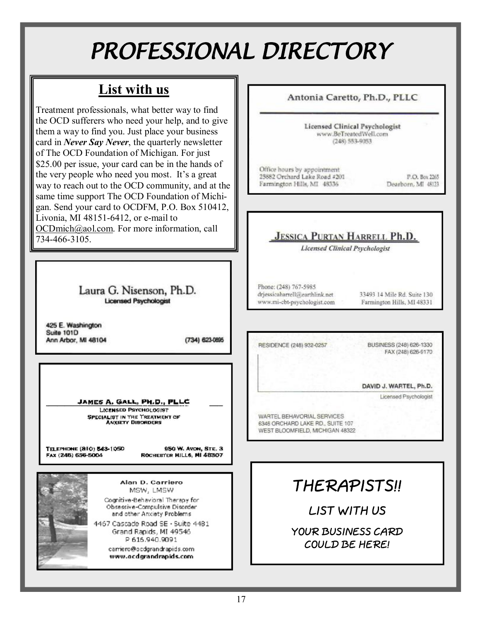## *PROFESSIONAL DIRECTORY*

## **List with us**

Treatment professionals, what better way to find the OCD sufferers who need your help, and to give them a way to find you. Just place your business card in *Never Say Never*, the quarterly newsletter of The OCD Foundation of Michigan. For just \$25.00 per issue, your card can be in the hands of the very people who need you most. It's a great way to reach out to the OCD community, and at the same time support The OCD Foundation of Michigan. Send your card to OCDFM, P.O. Box 510412, Livonia, MI 48151-6412, or e-mail to [OCDmich@aol.com](mailto:OCDmich@aol.com). For more information, call 734-466-3105.

> Laura G. Nisenson, Ph.D. **Licensed Psychologist**

425 E. Washington **Suite 101D** Ann Arbor, MI 48104

(734) 623-0895

JAMES A. GALL, PH.D., PLLC

LICENSED PSYCHOLOGIST SPECIALIST IN THE TREATMENT OF ANXIETY DISORDERS

TELEPHONE (810) 543-1050 FAX (248) 656-5004

950 W. AVON, STE. 3 ROCHEBTER HILLS, MI 48307



Alan D. Carriero MSW, LMSW

Cognitive-Behavioral Therapy for Obsessive-Compulsive Disorder and other Anxiety Problems

4467 Cascade Road SE - Suite 4481 Grand Rapids, MI 49546 P 616.940.9091

> carriero@ocdgrandrapids.com www.ocdgrandrapids.com

Antonia Caretto, Ph.D., PLLC

Licensed Clinical Psychologist www.BeTreatedWell.com  $(248)$  553-9053

Office hours by appointment 25882 Orchard Lake Road #201 Farmington Hills, MI 48336

P.O. Box 2265 Dearborn, MI 48123

## **JESSICA PURTAN HARRELL Ph.D.**

**Licensed Clinical Psychologist** 

Phone: (248) 767-5985 drjessicaharrell@earthlink.net www.mi-cbt-psychologist.com

33493 14 Mile Rd. Suite 130 Farmington Hills, MI 48331

RESIDENCE (248) 932-0257

BUSINESS (248) 626-1330 FAX (248) 626-9170

DAVID J. WARTEL, Ph.D.

Licensed Psychologist

WARTEL BEHAVORIAL SERVICES 6346 ORCHARD LAKE RD., SUITE 107 WEST BLOOMFIELD, MICHIGAN 48322

## **THERAPISTS!!**

**LIST WITH US** 

**YOUR BUSINESS CARD COULD BE HERE!**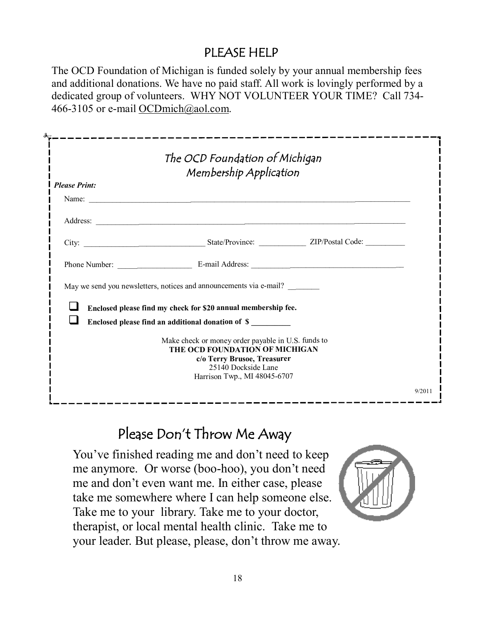## **PLEASE HELP**

The OCD Foundation of Michigan is funded solely by your annual membership fees and additional donations. We have no paid staff. All work is lovingly performed by a dedicated group of volunteers. WHY NOT VOLUNTEER YOUR TIME? Call 734- 466-3105 or e-mail [OCDmich@aol.com](mailto:OCDmich@aol.com).

| <b>Please Print:</b><br>May we send you newsletters, notices and announcements via e-mail?<br>Enclosed please find my check for \$20 annual membership fee.<br>Enclosed please find an additional donation of \$<br>Make check or money order payable in U.S. funds to<br>THE OCD FOUNDATION OF MICHIGAN |  |
|----------------------------------------------------------------------------------------------------------------------------------------------------------------------------------------------------------------------------------------------------------------------------------------------------------|--|
|                                                                                                                                                                                                                                                                                                          |  |
|                                                                                                                                                                                                                                                                                                          |  |
|                                                                                                                                                                                                                                                                                                          |  |
|                                                                                                                                                                                                                                                                                                          |  |
|                                                                                                                                                                                                                                                                                                          |  |
|                                                                                                                                                                                                                                                                                                          |  |
|                                                                                                                                                                                                                                                                                                          |  |
|                                                                                                                                                                                                                                                                                                          |  |
|                                                                                                                                                                                                                                                                                                          |  |
| c/o Terry Brusoe, Treasurer<br>25140 Dockside Lane                                                                                                                                                                                                                                                       |  |
| Harrison Twp., MI 48045-6707                                                                                                                                                                                                                                                                             |  |

## **Please Don't Throw Me Away**

You've finished reading me and don't need to keep me anymore. Or worse (boo-hoo), you don't need me and don't even want me. In either case, please take me somewhere where I can help someone else. Take me to your library. Take me to your doctor, therapist, or local mental health clinic. Take me to your leader. But please, please, don't throw me away.